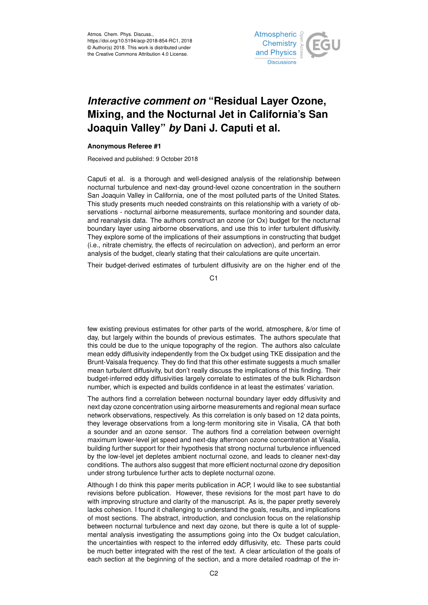

## *Interactive comment on* **"Residual Layer Ozone, Mixing, and the Nocturnal Jet in California's San Joaquin Valley"** *by* **Dani J. Caputi et al.**

## **Anonymous Referee #1**

Received and published: 9 October 2018

Caputi et al. is a thorough and well-designed analysis of the relationship between nocturnal turbulence and next-day ground-level ozone concentration in the southern San Joaquin Valley in California, one of the most polluted parts of the United States. This study presents much needed constraints on this relationship with a variety of observations - nocturnal airborne measurements, surface monitoring and sounder data, and reanalysis data. The authors construct an ozone (or Ox) budget for the nocturnal boundary layer using airborne observations, and use this to infer turbulent diffusivity. They explore some of the implications of their assumptions in constructing that budget (i.e., nitrate chemistry, the effects of recirculation on advection), and perform an error analysis of the budget, clearly stating that their calculations are quite uncertain.

Their budget-derived estimates of turbulent diffusivity are on the higher end of the

 $C<sub>1</sub>$ 

few existing previous estimates for other parts of the world, atmosphere, &/or time of day, but largely within the bounds of previous estimates. The authors speculate that this could be due to the unique topography of the region. The authors also calculate mean eddy diffusivity independently from the Ox budget using TKE dissipation and the Brunt-Vaisala frequency. They do find that this other estimate suggests a much smaller mean turbulent diffusivity, but don't really discuss the implications of this finding. Their budget-inferred eddy diffusivities largely correlate to estimates of the bulk Richardson number, which is expected and builds confidence in at least the estimates' variation.

The authors find a correlation between nocturnal boundary layer eddy diffusivity and next day ozone concentration using airborne measurements and regional mean surface network observations, respectively. As this correlation is only based on 12 data points, they leverage observations from a long-term monitoring site in Visalia, CA that both a sounder and an ozone sensor. The authors find a correlation between overnight maximum lower-level jet speed and next-day afternoon ozone concentration at Visalia, building further support for their hypothesis that strong nocturnal turbulence influenced by the low-level jet depletes ambient nocturnal ozone, and leads to cleaner next-day conditions. The authors also suggest that more efficient nocturnal ozone dry deposition under strong turbulence further acts to deplete nocturnal ozone.

Although I do think this paper merits publication in ACP, I would like to see substantial revisions before publication. However, these revisions for the most part have to do with improving structure and clarity of the manuscript. As is, the paper pretty severely lacks cohesion. I found it challenging to understand the goals, results, and implications of most sections. The abstract, introduction, and conclusion focus on the relationship between nocturnal turbulence and next day ozone, but there is quite a lot of supplemental analysis investigating the assumptions going into the Ox budget calculation, the uncertainties with respect to the inferred eddy diffusivity, etc. These parts could be much better integrated with the rest of the text. A clear articulation of the goals of each section at the beginning of the section, and a more detailed roadmap of the in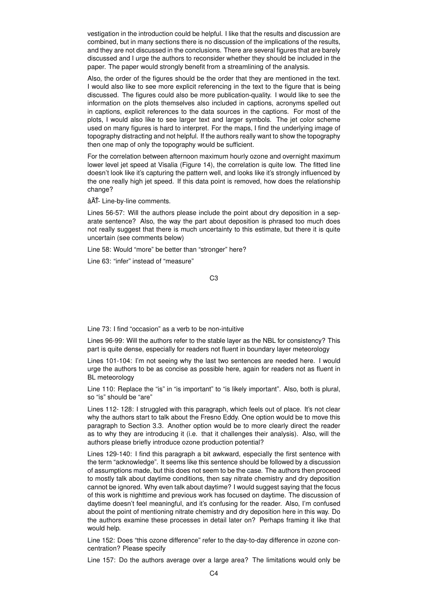vestigation in the introduction could be helpful. I like that the results and discussion are combined, but in many sections there is no discussion of the implications of the results, and they are not discussed in the conclusions. There are several figures that are barely discussed and I urge the authors to reconsider whether they should be included in the paper. The paper would strongly benefit from a streamlining of the analysis.

Also, the order of the figures should be the order that they are mentioned in the text. I would also like to see more explicit referencing in the text to the figure that is being discussed. The figures could also be more publication-quality. I would like to see the information on the plots themselves also included in captions, acronyms spelled out in captions, explicit references to the data sources in the captions. For most of the plots, I would also like to see larger text and larger symbols. The jet color scheme used on many figures is hard to interpret. For the maps, I find the underlying image of topography distracting and not helpful. If the authors really want to show the topography then one map of only the topography would be sufficient.

For the correlation between afternoon maximum hourly ozone and overnight maximum lower level jet speed at Visalia (Figure 14), the correlation is quite low. The fitted line doesn't look like it's capturing the pattern well, and looks like it's strongly influenced by the one really high jet speed. If this data point is removed, how does the relationship change?

âĂŤ- Line-by-line comments.

Lines 56-57: Will the authors please include the point about dry deposition in a separate sentence? Also, the way the part about deposition is phrased too much does not really suggest that there is much uncertainty to this estimate, but there it is quite uncertain (see comments below)

Line 58: Would "more" be better than "stronger" here?

Line 63: "infer" instead of "measure"

C3

Line 73: I find "occasion" as a verb to be non-intuitive

Lines 96-99: Will the authors refer to the stable layer as the NBL for consistency? This part is quite dense, especially for readers not fluent in boundary layer meteorology

Lines 101-104: I'm not seeing why the last two sentences are needed here. I would urge the authors to be as concise as possible here, again for readers not as fluent in BL meteorology

Line 110: Replace the "is" in "is important" to "is likely important". Also, both is plural, so "is" should be "are"

Lines 112- 128: I struggled with this paragraph, which feels out of place. It's not clear why the authors start to talk about the Fresno Eddy. One option would be to move this paragraph to Section 3.3. Another option would be to more clearly direct the reader as to why they are introducing it (i.e. that it challenges their analysis). Also, will the authors please briefly introduce ozone production potential?

Lines 129-140: I find this paragraph a bit awkward, especially the first sentence with the term "acknowledge". It seems like this sentence should be followed by a discussion of assumptions made, but this does not seem to be the case. The authors then proceed to mostly talk about daytime conditions, then say nitrate chemistry and dry deposition cannot be ignored. Why even talk about daytime? I would suggest saying that the focus of this work is nighttime and previous work has focused on daytime. The discussion of daytime doesn't feel meaningful, and it's confusing for the reader. Also, I'm confused about the point of mentioning nitrate chemistry and dry deposition here in this way. Do the authors examine these processes in detail later on? Perhaps framing it like that would help.

Line 152: Does "this ozone difference" refer to the day-to-day difference in ozone concentration? Please specify

Line 157: Do the authors average over a large area? The limitations would only be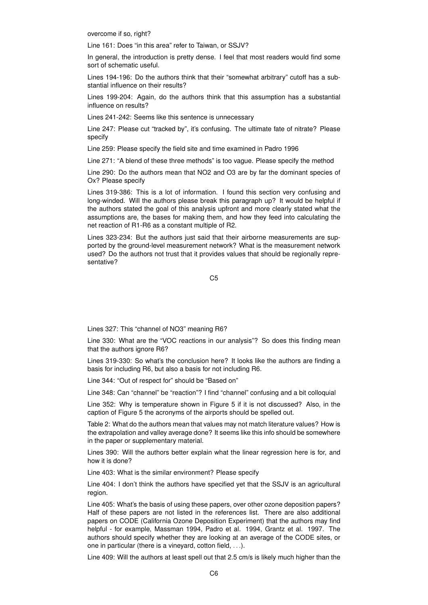overcome if so, right?

Line 161: Does "in this area" refer to Taiwan, or SSJV?

In general, the introduction is pretty dense. I feel that most readers would find some sort of schematic useful.

Lines 194-196: Do the authors think that their "somewhat arbitrary" cutoff has a substantial influence on their results?

Lines 199-204: Again, do the authors think that this assumption has a substantial influence on results?

Lines 241-242: Seems like this sentence is unnecessary

Line 247: Please cut "tracked by", it's confusing. The ultimate fate of nitrate? Please specify

Line 259: Please specify the field site and time examined in Padro 1996

Line 271: "A blend of these three methods" is too vague. Please specify the method

Line 290: Do the authors mean that NO2 and O3 are by far the dominant species of Ox? Please specify

Lines 319-386: This is a lot of information. I found this section very confusing and long-winded. Will the authors please break this paragraph up? It would be helpful if the authors stated the goal of this analysis upfront and more clearly stated what the assumptions are, the bases for making them, and how they feed into calculating the net reaction of R1-R6 as a constant multiple of R2.

Lines 323-234: But the authors just said that their airborne measurements are supported by the ground-level measurement network? What is the measurement network used? Do the authors not trust that it provides values that should be regionally representative?

C5

Lines 327: This "channel of NO3" meaning R6?

Line 330: What are the "VOC reactions in our analysis"? So does this finding mean that the authors ignore R6?

Lines 319-330: So what's the conclusion here? It looks like the authors are finding a basis for including R6, but also a basis for not including R6.

Line 344: "Out of respect for" should be "Based on"

Line 348: Can "channel" be "reaction"? I find "channel" confusing and a bit colloquial

Line 352: Why is temperature shown in Figure 5 if it is not discussed? Also, in the caption of Figure 5 the acronyms of the airports should be spelled out.

Table 2: What do the authors mean that values may not match literature values? How is the extrapolation and valley average done? It seems like this info should be somewhere in the paper or supplementary material.

Lines 390: Will the authors better explain what the linear regression here is for, and how it is done?

Line 403: What is the similar environment? Please specify

Line 404: I don't think the authors have specified yet that the SSJV is an agricultural region.

Line 405: What's the basis of using these papers, over other ozone deposition papers? Half of these papers are not listed in the references list. There are also additional papers on CODE (California Ozone Deposition Experiment) that the authors may find helpful - for example, Massman 1994, Padro et al. 1994, Grantz et al. 1997. The authors should specify whether they are looking at an average of the CODE sites, or one in particular (there is a vineyard, cotton field, . . .).

Line 409: Will the authors at least spell out that 2.5 cm/s is likely much higher than the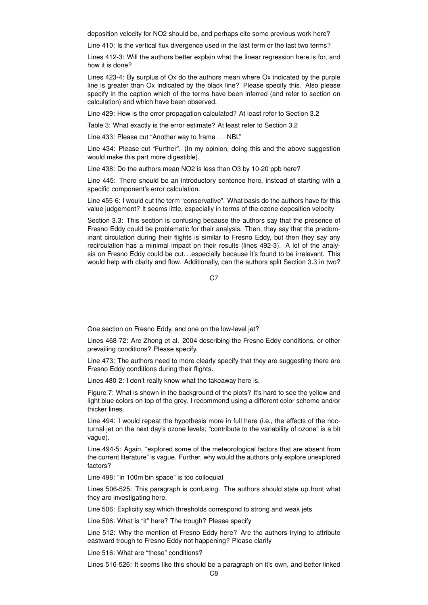deposition velocity for NO2 should be, and perhaps cite some previous work here?

Line 410: Is the vertical flux divergence used in the last term or the last two terms?

Lines 412-3: Will the authors better explain what the linear regression here is for, and how it is done?

Lines 423-4: By surplus of Ox do the authors mean where Ox indicated by the purple line is greater than Ox indicated by the black line? Please specify this. Also please specify in the caption which of the terms have been inferred (and refer to section on calculation) and which have been observed.

Line 429: How is the error propagation calculated? At least refer to Section 3.2

Table 3: What exactly is the error estimate? At least refer to Section 3.2

Line 433: Please cut "Another way to frame . . . NBL"

Line 434: Please cut "Further". (In my opinion, doing this and the above suggestion would make this part more digestible).

Line 438: Do the authors mean NO2 is less than O3 by 10-20 ppb here?

Line 445: There should be an introductory sentence here, instead of starting with a specific component's error calculation.

Line 455-6: I would cut the term "conservative". What basis do the authors have for this value judgement? It seems little, especially in terms of the ozone deposition velocity

Section 3.3: This section is confusing because the authors say that the presence of Fresno Eddy could be problematic for their analysis. Then, they say that the predominant circulation during their flights is similar to Fresno Eddy, but then they say any recirculation has a minimal impact on their results (lines 492-3). A lot of the analysis on Fresno Eddy could be cut. . .especially because it's found to be irrelevant. This would help with clarity and flow. Additionally, can the authors split Section 3.3 in two?

C<sub>7</sub>

One section on Fresno Eddy, and one on the low-level jet?

Lines 468-72: Are Zhong et al. 2004 describing the Fresno Eddy conditions, or other prevailing conditions? Please specify.

Line 473: The authors need to more clearly specify that they are suggesting there are Fresno Eddy conditions during their flights.

Lines 480-2: I don't really know what the takeaway here is.

Figure 7: What is shown in the background of the plots? It's hard to see the yellow and light blue colors on top of the grey. I recommend using a different color scheme and/or thicker lines.

Line 494: I would repeat the hypothesis more in full here (i.e., the effects of the nocturnal jet on the next day's ozone levels; "contribute to the variability of ozone" is a bit vague).

Line 494-5: Again, "explored some of the meteorological factors that are absent from the current literature" is vague. Further, why would the authors only explore unexplored factors?

Line 498: "in 100m bin space" is too colloquial

Lines 506-525: This paragraph is confusing. The authors should state up front what they are investigating here.

Line 506: Explicitly say which thresholds correspond to strong and weak jets

Line 506: What is "it" here? The trough? Please specify

Line 512: Why the mention of Fresno Eddy here? Are the authors trying to attribute eastward trough to Fresno Eddy not happening? Please clarify

Line 516: What are "those" conditions?

Lines 516-526: It seems like this should be a paragraph on it's own, and better linked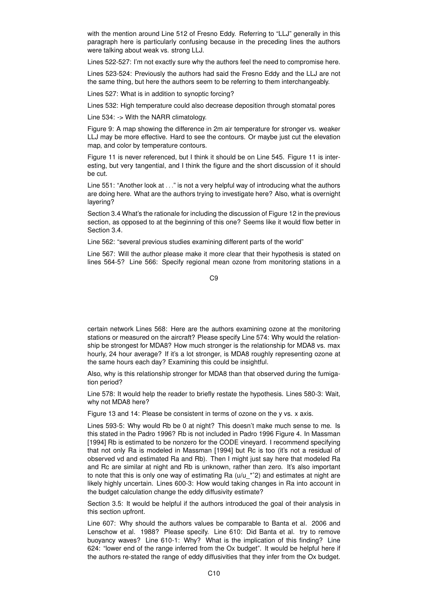with the mention around Line 512 of Fresno Eddy. Referring to "LLJ" generally in this paragraph here is particularly confusing because in the preceding lines the authors were talking about weak vs. strong LLJ.

Lines 522-527: I'm not exactly sure why the authors feel the need to compromise here.

Lines 523-524: Previously the authors had said the Fresno Eddy and the LLJ are not the same thing, but here the authors seem to be referring to them interchangeably.

Lines 527: What is in addition to synoptic forcing?

Lines 532: High temperature could also decrease deposition through stomatal pores

Line 534: -> With the NARR climatology.

Figure 9: A map showing the difference in 2m air temperature for stronger vs. weaker LLJ may be more effective. Hard to see the contours. Or maybe just cut the elevation map, and color by temperature contours.

Figure 11 is never referenced, but I think it should be on Line 545. Figure 11 is interesting, but very tangential, and I think the figure and the short discussion of it should be cut.

Line 551: "Another look at . . ." is not a very helpful way of introducing what the authors are doing here. What are the authors trying to investigate here? Also, what is overnight layering?

Section 3.4 What's the rationale for including the discussion of Figure 12 in the previous section, as opposed to at the beginning of this one? Seems like it would flow better in Section 3.4.

Line 562: "several previous studies examining different parts of the world"

Line 567: Will the author please make it more clear that their hypothesis is stated on lines 564-5? Line 566: Specify regional mean ozone from monitoring stations in a

 $C9$ 

certain network Lines 568: Here are the authors examining ozone at the monitoring stations or measured on the aircraft? Please specify Line 574: Why would the relationship be strongest for MDA8? How much stronger is the relationship for MDA8 vs. max hourly, 24 hour average? If it's a lot stronger, is MDA8 roughly representing ozone at the same hours each day? Examining this could be insightful.

Also, why is this relationship stronger for MDA8 than that observed during the fumigation period?

Line 578: It would help the reader to briefly restate the hypothesis. Lines 580-3: Wait, why not MDA8 here?

Figure 13 and 14: Please be consistent in terms of ozone on the y vs. x axis.

Lines 593-5: Why would Rb be 0 at night? This doesn't make much sense to me. Is this stated in the Padro 1996? Rb is not included in Padro 1996 Figure 4. In Massman [1994] Rb is estimated to be nonzero for the CODE vineyard. I recommend specifying that not only Ra is modeled in Massman [1994] but Rc is too (it's not a residual of observed vd and estimated Ra and Rb). Then I might just say here that modeled Ra and Rc are similar at night and Rb is unknown, rather than zero. It's also important to note that this is only one way of estimating Ra  $(u/u_2^{\star 2})$  and estimates at night are likely highly uncertain. Lines 600-3: How would taking changes in Ra into account in the budget calculation change the eddy diffusivity estimate?

Section 3.5: It would be helpful if the authors introduced the goal of their analysis in this section upfront.

Line 607: Why should the authors values be comparable to Banta et al. 2006 and Lenschow et al. 1988? Please specify. Line 610: Did Banta et al. try to remove buoyancy waves? Line 610-1: Why? What is the implication of this finding? Line 624: "lower end of the range inferred from the Ox budget". It would be helpful here if the authors re-stated the range of eddy diffusivities that they infer from the Ox budget.